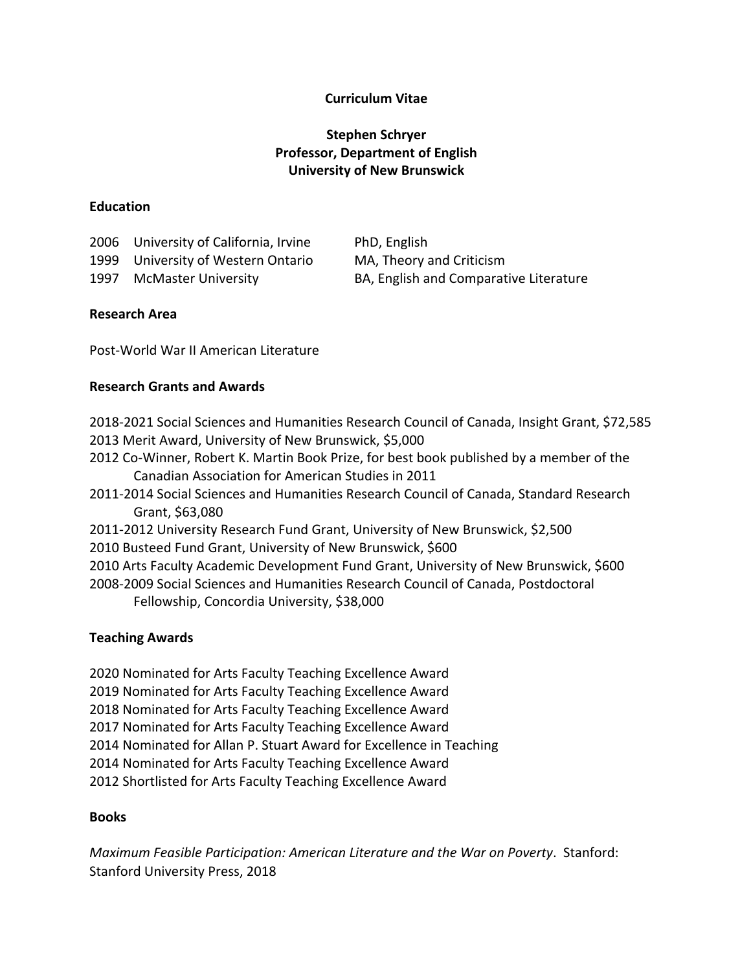# **Curriculum Vitae**

# **Stephen Schryer Professor, Department of English University of New Brunswick**

#### **Education**

| 2006 University of California, Irvine | PhD, English                           |
|---------------------------------------|----------------------------------------|
| 1999 University of Western Ontario    | MA, Theory and Criticism               |
| 1997 McMaster University              | BA, English and Comparative Literature |

# **Research Area**

Post-World War II American Literature

#### **Research Grants and Awards**

- 2018-2021 Social Sciences and Humanities Research Council of Canada, Insight Grant, \$72,585 2013 Merit Award, University of New Brunswick, \$5,000
- 2012 Co-Winner, Robert K. Martin Book Prize, for best book published by a member of the Canadian Association for American Studies in 2011
- 2011-2014 Social Sciences and Humanities Research Council of Canada, Standard Research Grant, \$63,080
- 2011-2012 University Research Fund Grant, University of New Brunswick, \$2,500
- 2010 Busteed Fund Grant, University of New Brunswick, \$600
- 2010 Arts Faculty Academic Development Fund Grant, University of New Brunswick, \$600
- 2008-2009 Social Sciences and Humanities Research Council of Canada, Postdoctoral Fellowship, Concordia University, \$38,000

# **Teaching Awards**

2020 Nominated for Arts Faculty Teaching Excellence Award 2019 Nominated for Arts Faculty Teaching Excellence Award 2018 Nominated for Arts Faculty Teaching Excellence Award 2017 Nominated for Arts Faculty Teaching Excellence Award 2014 Nominated for Allan P. Stuart Award for Excellence in Teaching 2014 Nominated for Arts Faculty Teaching Excellence Award 2012 Shortlisted for Arts Faculty Teaching Excellence Award

# **Books**

*Maximum Feasible Participation: American Literature and the War on Poverty*. Stanford: Stanford University Press, 2018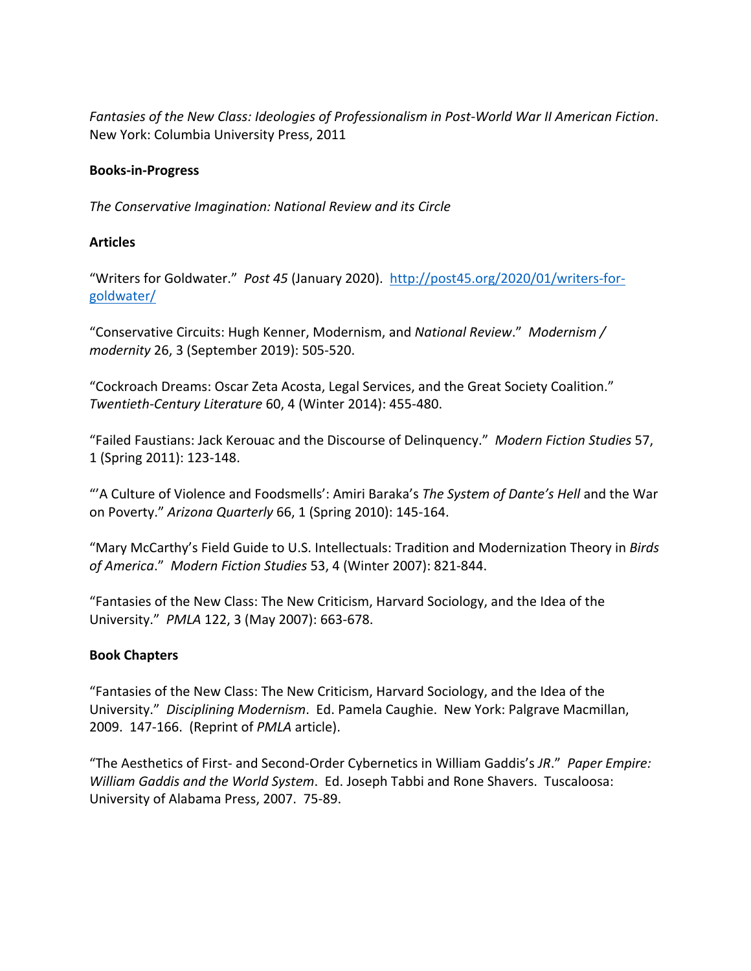*Fantasies of the New Class: Ideologies of Professionalism in Post-World War II American Fiction*. New York: Columbia University Press, 2011

# **Books-in-Progress**

*The Conservative Imagination: National Review and its Circle*

# **Articles**

"Writers for Goldwater." *Post 45* (January 2020). http://post45.org/2020/01/writers-forgoldwater/

"Conservative Circuits: Hugh Kenner, Modernism, and *National Review*." *Modernism / modernity* 26, 3 (September 2019): 505-520.

"Cockroach Dreams: Oscar Zeta Acosta, Legal Services, and the Great Society Coalition." *Twentieth-Century Literature* 60, 4 (Winter 2014): 455-480.

"Failed Faustians: Jack Kerouac and the Discourse of Delinquency." *Modern Fiction Studies* 57, 1 (Spring 2011): 123-148.

"'A Culture of Violence and Foodsmells': Amiri Baraka's *The System of Dante's Hell* and the War on Poverty." *Arizona Quarterly* 66, 1 (Spring 2010): 145-164.

"Mary McCarthy's Field Guide to U.S. Intellectuals: Tradition and Modernization Theory in *Birds of America*." *Modern Fiction Studies* 53, 4 (Winter 2007): 821-844.

"Fantasies of the New Class: The New Criticism, Harvard Sociology, and the Idea of the University." *PMLA* 122, 3 (May 2007): 663-678.

# **Book Chapters**

"Fantasies of the New Class: The New Criticism, Harvard Sociology, and the Idea of the University." *Disciplining Modernism*. Ed. Pamela Caughie. New York: Palgrave Macmillan, 2009. 147-166. (Reprint of *PMLA* article).

"The Aesthetics of First- and Second-Order Cybernetics in William Gaddis's *JR*." *Paper Empire: William Gaddis and the World System*. Ed. Joseph Tabbi and Rone Shavers. Tuscaloosa: University of Alabama Press, 2007. 75-89.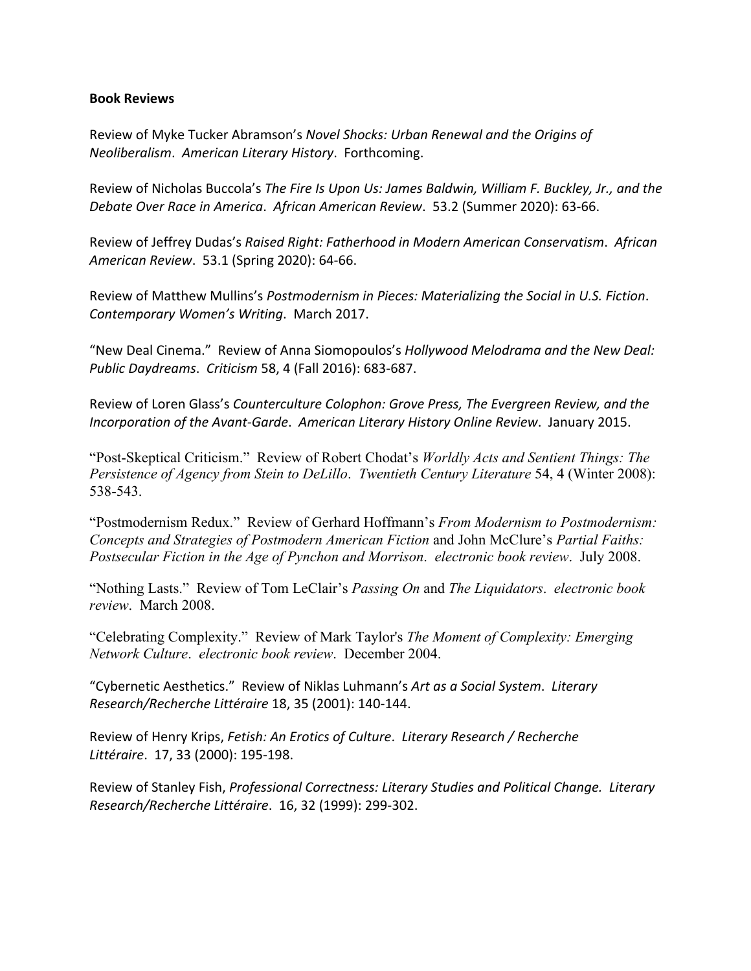#### **Book Reviews**

Review of Myke Tucker Abramson's *Novel Shocks: Urban Renewal and the Origins of Neoliberalism*. *American Literary History*. Forthcoming.

Review of Nicholas Buccola's *The Fire Is Upon Us: James Baldwin, William F. Buckley, Jr., and the Debate Over Race in America*. *African American Review*. 53.2 (Summer 2020): 63-66.

Review of Jeffrey Dudas's *Raised Right: Fatherhood in Modern American Conservatism*. *African American Review*. 53.1 (Spring 2020): 64-66.

Review of Matthew Mullins's *Postmodernism in Pieces: Materializing the Social in U.S. Fiction*. *Contemporary Women's Writing*. March 2017.

"New Deal Cinema." Review of Anna Siomopoulos's *Hollywood Melodrama and the New Deal: Public Daydreams*. *Criticism* 58, 4 (Fall 2016): 683-687.

Review of Loren Glass's *Counterculture Colophon: Grove Press, The Evergreen Review, and the Incorporation of the Avant-Garde*. *American Literary History Online Review*. January 2015.

"Post-Skeptical Criticism." Review of Robert Chodat's *Worldly Acts and Sentient Things: The Persistence of Agency from Stein to DeLillo*. *Twentieth Century Literature* 54, 4 (Winter 2008): 538-543.

"Postmodernism Redux." Review of Gerhard Hoffmann's *From Modernism to Postmodernism: Concepts and Strategies of Postmodern American Fiction* and John McClure's *Partial Faiths: Postsecular Fiction in the Age of Pynchon and Morrison*. *electronic book review*. July 2008.

"Nothing Lasts." Review of Tom LeClair's *Passing On* and *The Liquidators*. *electronic book review*. March 2008.

"Celebrating Complexity." Review of Mark Taylor's *The Moment of Complexity: Emerging Network Culture*. *electronic book review*. December 2004.

"Cybernetic Aesthetics." Review of Niklas Luhmann's *Art as a Social System*. *Literary Research/Recherche Littéraire* 18, 35 (2001): 140-144.

Review of Henry Krips, *Fetish: An Erotics of Culture*. *Literary Research / Recherche Littéraire*. 17, 33 (2000): 195-198.

Review of Stanley Fish, *Professional Correctness: Literary Studies and Political Change. Literary Research/Recherche Littéraire*. 16, 32 (1999): 299-302.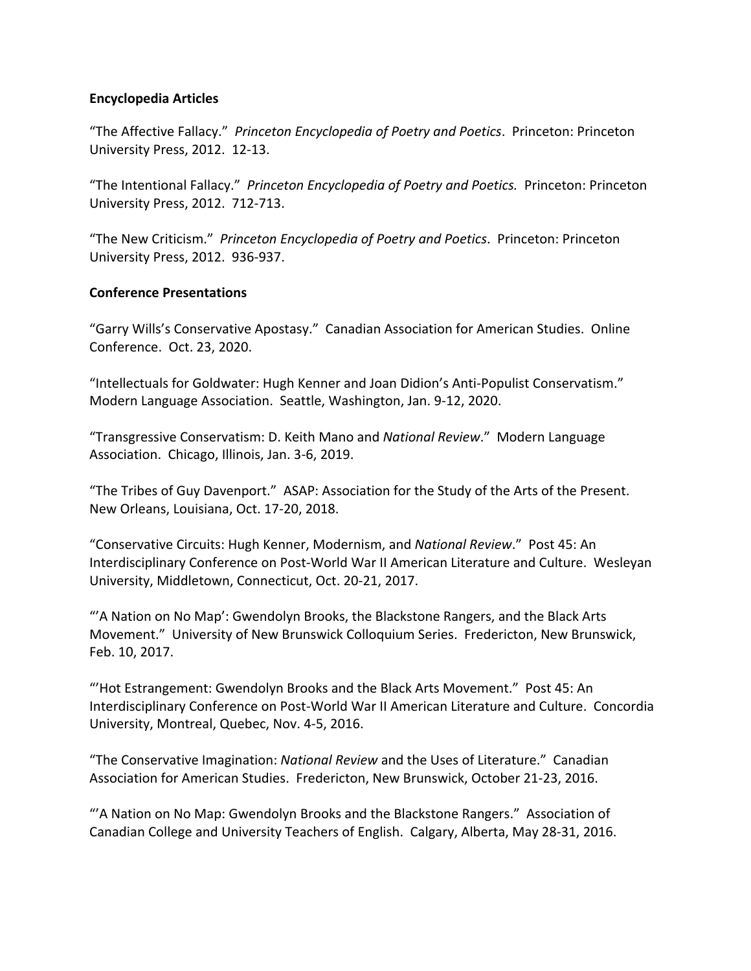#### **Encyclopedia Articles**

"The Affective Fallacy." *Princeton Encyclopedia of Poetry and Poetics*. Princeton: Princeton University Press, 2012. 12-13.

"The Intentional Fallacy." *Princeton Encyclopedia of Poetry and Poetics.* Princeton: Princeton University Press, 2012. 712-713.

"The New Criticism." *Princeton Encyclopedia of Poetry and Poetics*. Princeton: Princeton University Press, 2012. 936-937.

#### **Conference Presentations**

"Garry Wills's Conservative Apostasy." Canadian Association for American Studies. Online Conference. Oct. 23, 2020.

"Intellectuals for Goldwater: Hugh Kenner and Joan Didion's Anti-Populist Conservatism." Modern Language Association. Seattle, Washington, Jan. 9-12, 2020.

"Transgressive Conservatism: D. Keith Mano and *National Review*." Modern Language Association. Chicago, Illinois, Jan. 3-6, 2019.

"The Tribes of Guy Davenport." ASAP: Association for the Study of the Arts of the Present. New Orleans, Louisiana, Oct. 17-20, 2018.

"Conservative Circuits: Hugh Kenner, Modernism, and *National Review*." Post 45: An Interdisciplinary Conference on Post-World War II American Literature and Culture. Wesleyan University, Middletown, Connecticut, Oct. 20-21, 2017.

"'A Nation on No Map': Gwendolyn Brooks, the Blackstone Rangers, and the Black Arts Movement." University of New Brunswick Colloquium Series. Fredericton, New Brunswick, Feb. 10, 2017.

"'Hot Estrangement: Gwendolyn Brooks and the Black Arts Movement." Post 45: An Interdisciplinary Conference on Post-World War II American Literature and Culture. Concordia University, Montreal, Quebec, Nov. 4-5, 2016.

"The Conservative Imagination: *National Review* and the Uses of Literature." Canadian Association for American Studies. Fredericton, New Brunswick, October 21-23, 2016.

"'A Nation on No Map: Gwendolyn Brooks and the Blackstone Rangers." Association of Canadian College and University Teachers of English. Calgary, Alberta, May 28-31, 2016.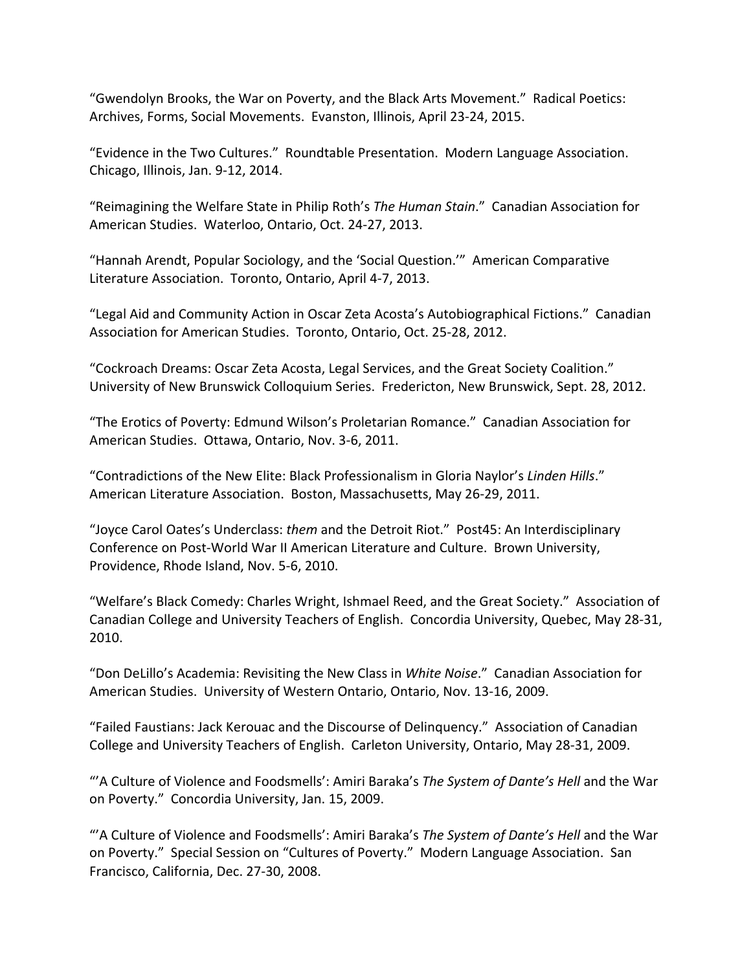"Gwendolyn Brooks, the War on Poverty, and the Black Arts Movement." Radical Poetics: Archives, Forms, Social Movements. Evanston, Illinois, April 23-24, 2015.

"Evidence in the Two Cultures." Roundtable Presentation. Modern Language Association. Chicago, Illinois, Jan. 9-12, 2014.

"Reimagining the Welfare State in Philip Roth's *The Human Stain*." Canadian Association for American Studies. Waterloo, Ontario, Oct. 24-27, 2013.

"Hannah Arendt, Popular Sociology, and the 'Social Question.'" American Comparative Literature Association. Toronto, Ontario, April 4-7, 2013.

"Legal Aid and Community Action in Oscar Zeta Acosta's Autobiographical Fictions." Canadian Association for American Studies. Toronto, Ontario, Oct. 25-28, 2012.

"Cockroach Dreams: Oscar Zeta Acosta, Legal Services, and the Great Society Coalition." University of New Brunswick Colloquium Series. Fredericton, New Brunswick, Sept. 28, 2012.

"The Erotics of Poverty: Edmund Wilson's Proletarian Romance." Canadian Association for American Studies. Ottawa, Ontario, Nov. 3-6, 2011.

"Contradictions of the New Elite: Black Professionalism in Gloria Naylor's *Linden Hills*." American Literature Association. Boston, Massachusetts, May 26-29, 2011.

"Joyce Carol Oates's Underclass: *them* and the Detroit Riot." Post45: An Interdisciplinary Conference on Post-World War II American Literature and Culture. Brown University, Providence, Rhode Island, Nov. 5-6, 2010.

"Welfare's Black Comedy: Charles Wright, Ishmael Reed, and the Great Society." Association of Canadian College and University Teachers of English. Concordia University, Quebec, May 28-31, 2010.

"Don DeLillo's Academia: Revisiting the New Class in *White Noise*." Canadian Association for American Studies. University of Western Ontario, Ontario, Nov. 13-16, 2009.

"Failed Faustians: Jack Kerouac and the Discourse of Delinquency." Association of Canadian College and University Teachers of English. Carleton University, Ontario, May 28-31, 2009.

"'A Culture of Violence and Foodsmells': Amiri Baraka's *The System of Dante's Hell* and the War on Poverty." Concordia University, Jan. 15, 2009.

"'A Culture of Violence and Foodsmells': Amiri Baraka's *The System of Dante's Hell* and the War on Poverty." Special Session on "Cultures of Poverty." Modern Language Association. San Francisco, California, Dec. 27-30, 2008.